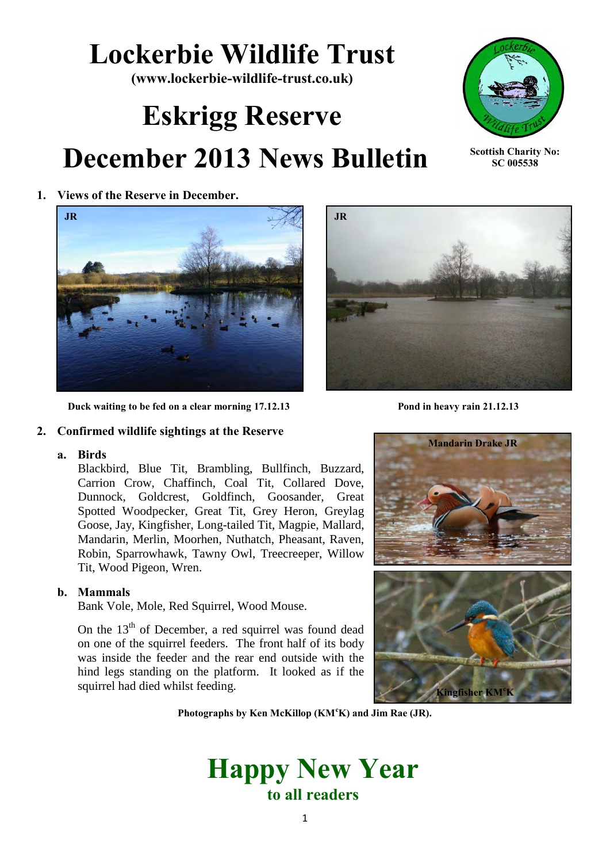## **Lockerbie Wildlife Trust**

**(www.lockerbie-wildlife-trust.co.uk)** 

# **Eskrigg Reserve December 2013 News Bulletin**



**Scottish Charity No: SC 005538**

Kingfisher

**1. Views of the Reserve in December.** 



 **Duck waiting to be fed on a clear morning 17.12.13** Pond in heavy rain 21.12.13

#### **2. Confirmed wildlife sightings at the Reserve**

#### **a. Birds**

Blackbird, Blue Tit, Brambling, Bullfinch, Buzzard, Carrion Crow, Chaffinch, Coal Tit, Collared Dove, Dunnock, Goldcrest, Goldfinch, Goosander, Great Spotted Woodpecker, Great Tit, Grey Heron, Greylag Goose, Jay, Kingfisher, Long-tailed Tit, Magpie, Mallard, Mandarin, Merlin, Moorhen, Nuthatch, Pheasant, Raven, Robin, Sparrowhawk, Tawny Owl, Treecreeper, Willow Tit, Wood Pigeon, Wren.

#### **b. Mammals**

Bank Vole, Mole, Red Squirrel, Wood Mouse.

On the  $13<sup>th</sup>$  of December, a red squirrel was found dead on one of the squirrel feeders. The front half of its body was inside the feeder and the rear end outside with the hind legs standing on the platform. It looked as if the squirrel had died whilst feeding.





**Photographs by Ken McKillop (KM<sup>c</sup>K) and Jim Rae (JR).**

### **Happy New Year to all readers**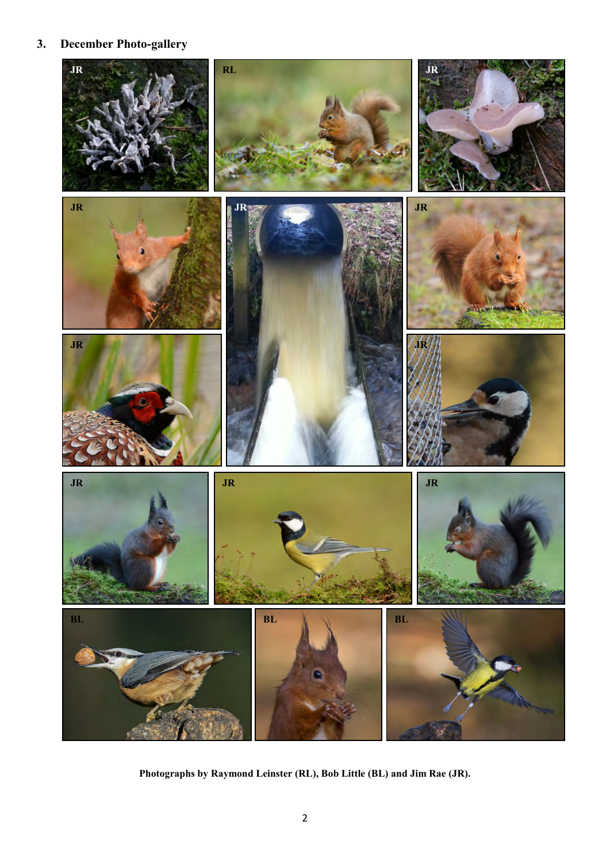### **3. December Photo-gallery**



**Photographs by Raymond Leinster (RL), Bob Little (BL) and Jim Rae (JR).**